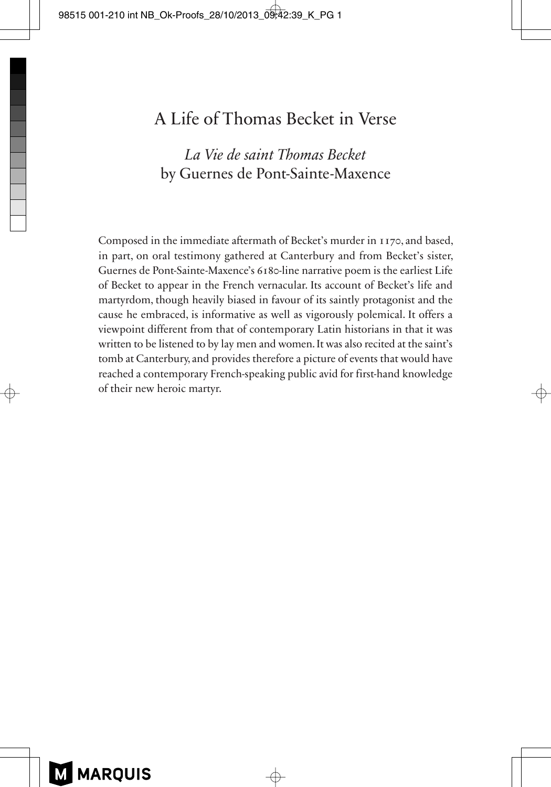## A Life of Thomas Becket in Verse

## *La Vie de saint Thomas Becket* by Guernes de Pont-Sainte-Maxence

Composed in the immediate aftermath of Becket's murder in 1170, and based, in part, on oral testimony gathered at Canterbury and from Becket's sister, Guernes de Pont-Sainte-Maxence's 6180-line narrative poem is the earliest Life of Becket to appear in the French vernacular. Its account of Becket's life and martyrdom, though heavily biased in favour of its saintly protagonist and the cause he embraced, is informative as well as vigorously polemical. It offers a viewpoint different from that of contemporary Latin historians in that it was written to be listened to by lay men and women. It was also recited at the saint's tomb at Canterbury, and provides therefore a picture of events that would have reached a contemporary French-speaking public avid for first-hand knowledge of their new heroic martyr.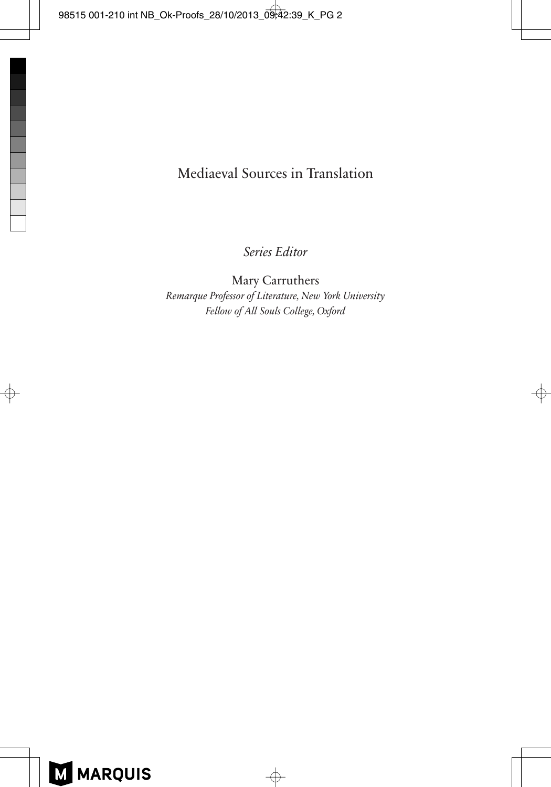## Mediaeval Sources in Translation

*Series Editor*

Mary Carruthers *Remarque Professor of Literature, New York University Fellow of All Souls College, Oxford*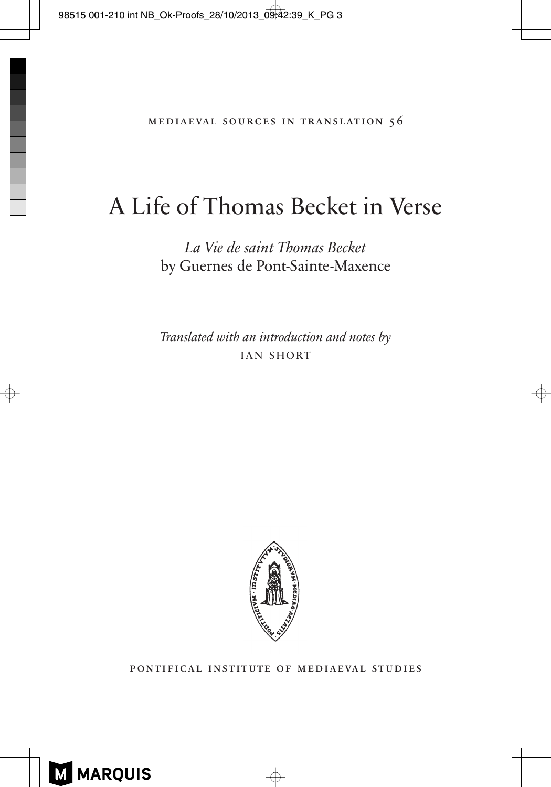# A Life of Thomas Becket in Verse

*La Vie de saint Thomas Becket* by Guernes de Pont-Sainte-Maxence

*Translated with an introduction and notes by* IAN SHORT



pontifical institute of mediaeval studies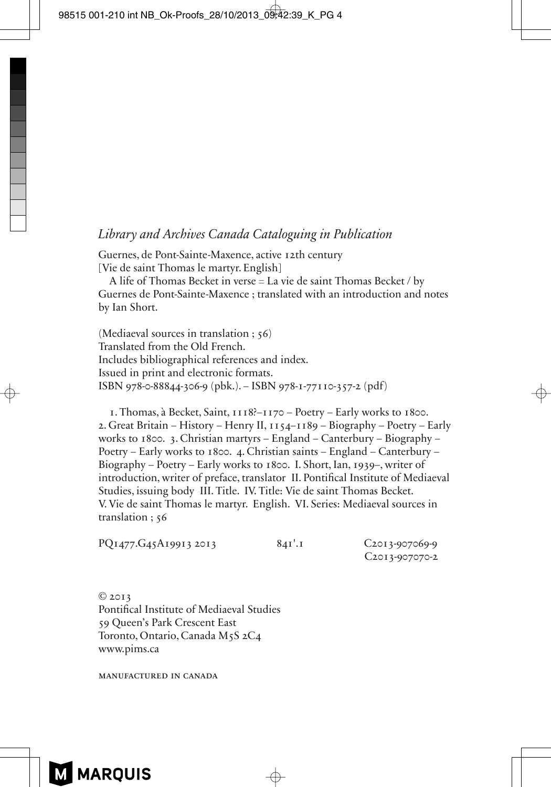#### *Library and Archives Canada Cataloguing in Publication*

Guernes, de Pont-Sainte-Maxence, active 12th century [Vie de saint Thomas le martyr. English]

A life of Thomas Becket in verse = La vie de saint Thomas Becket / by Guernes de Pont-Sainte-Maxence ; translated with an introduction and notes by Ian Short.

(Mediaeval sources in translation ; 56) Translated from the Old French. Includes bibliographical references and index. Issued in print and electronic formats. ISBN 978-0-88844-306-9 (pbk.). – ISBN 978-1-77110-357-2 (pdf)

1. Thomas, à Becket, Saint, 1118?–1170 – Poetry – Early works to 1800. 2. Great Britain – History – Henry II, 1154–1189 – Biography – Poetry – Early works to 1800. 3. Christian martyrs – England – Canterbury – Biography – Poetry – Early works to 1800. 4. Christian saints – England – Canterbury – Biography – Poetry – Early works to 1800. I. Short, Ian, 1939–, writer of introduction, writer of preface, translator II. Pontifical Institute of Mediaeval Studies, issuing body III. Title. IV. Title: Vie de saint Thomas Becket. V. Vie de saint Thomas le martyr. English. VI. Series: Mediaeval sources in translation ; 56

| PQ1477.G45A19913 2013 | 84I'.I |  |
|-----------------------|--------|--|
|-----------------------|--------|--|

C<sub>2013</sub>-907069-9 C2013-907070-2

© 2013 Pontifical Institute of Mediaeval Studies 59 Queen's Park Crescent East Toronto, Ontario, Canada M5S 2C4 www.pims.ca

manufactured in canada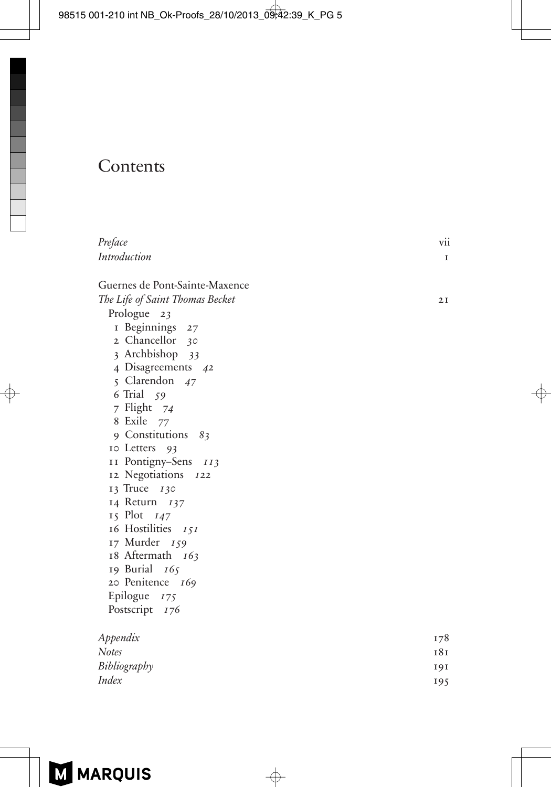# **Contents**

| Preface                         | V11             |
|---------------------------------|-----------------|
| Introduction                    | I               |
| Guernes de Pont-Sainte-Maxence  |                 |
| The Life of Saint Thomas Becket | 2I              |
| Prologue 23                     |                 |
| I Beginnings 27                 |                 |
| 2 Chancellor<br>30              |                 |
| 3 Archbishop 33                 |                 |
| 4 Disagreements 42              |                 |
| 5 Clarendon 47                  |                 |
| 6 Trial 59                      |                 |
| 7 Flight 74                     |                 |
| 8 Exile<br>77                   |                 |
| 9 Constitutions 83              |                 |
| 10 Letters 93                   |                 |
| II Pontigny-Sens 113            |                 |
| 12 Negotiations<br><i>I</i> 22  |                 |
| 13 Truce 130                    |                 |
| 14 Return 137                   |                 |
| 15 Plot 147                     |                 |
| 16 Hostilities 151              |                 |
| 17 Murder 159                   |                 |
| 18 Aftermath 163                |                 |
| 19 Burial<br>165                |                 |
| 20 Penitence 169                |                 |
| Epilogue $175$                  |                 |
| Postscript 176                  |                 |
| Appendix                        | 178             |
| <b>Notes</b>                    | 18 <sub>I</sub> |
| Bibliography                    | 191             |
| <b>Index</b>                    | 195             |
|                                 |                 |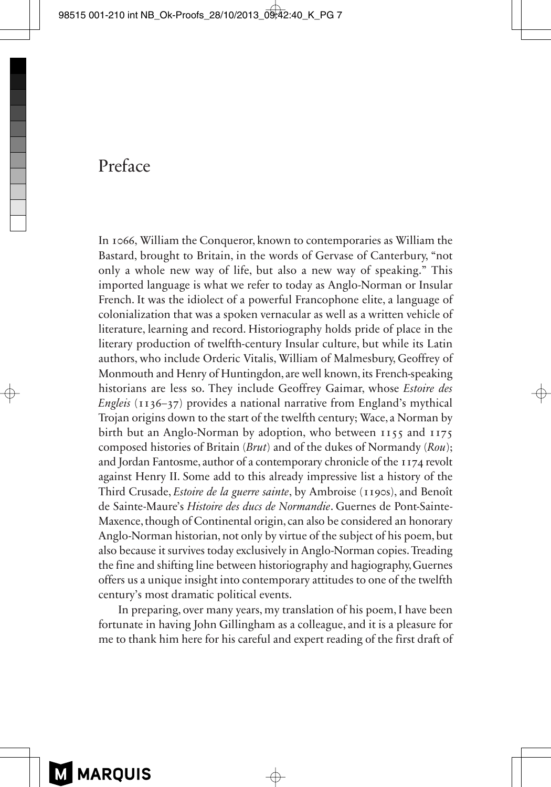## Preface

In 1066, William the Conqueror, known to contemporaries as William the Bastard, brought to Britain, in the words of Gervase of Canterbury, "not only a whole new way of life, but also a new way of speaking." This imported language is what we refer to today as Anglo-Norman or Insular French. It was the idiolect of a powerful Francophone elite, a language of colonialization that was a spoken vernacular as well as a written vehicle of literature, learning and record. Historiography holds pride of place in the literary production of twelfth-century Insular culture, but while its Latin authors, who include Orderic Vitalis, William of Malmesbury, Geoffrey of Monmouth and Henry of Huntingdon, are well known, its French-speaking historians are less so. They include Geoffrey Gaimar, whose *Estoire des Engleis* (1136–37) provides a national narrative from England's mythical Trojan origins down to the start of the twelfth century; Wace, a Norman by birth but an Anglo-Norman by adoption, who between 1155 and 1175 composed histories of Britain (*Brut*) and of the dukes of Normandy (*Rou*); and Jordan Fantosme, author of a contemporary chronicle of the 1174 revolt against Henry II. Some add to this already impressive list a history of the Third Crusade, *Estoire de la guerre sainte*, by Ambroise (1190s), and Benoît de Sainte-Maure's *Histoire des ducs de Normandie*. Guernes de Pont-Sainte-Maxence, though of Continental origin, can also be considered an honorary Anglo-Norman historian, not only by virtue of the subject of his poem, but also because it survives today exclusively in Anglo-Norman copies. Treading the fine and shifting line between historiography and hagiography, Guernes offers us a unique insight into contemporary attitudes to one of the twelfth century's most dramatic political events.

In preparing, over many years, my translation of his poem, I have been fortunate in having John Gillingham as a colleague, and it is a pleasure for me to thank him here for his careful and expert reading of the first draft of